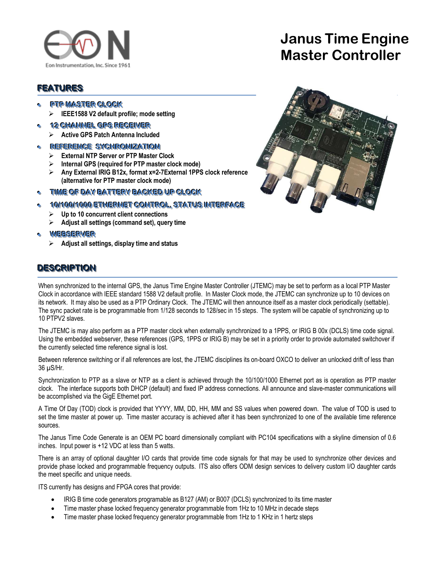

# **Janus Time Engine Master Controller**

## **FEATURES**

- **PTP MASTER CLOCK** 
	- **IEEE1588 V2 default profile; mode setting**
- **•• 12 CHANNEL GPS RECEIVER** 
	- **Active GPS Patch Antenna Included**

#### **• REFERENCE SYCHRONIZATION**

- **External NTP Server or PTP Master Clock**
- **Internal GPS (required for PTP master clock mode)**
- **Any External IRIG B12x, format x=2-7External 1PPS clock reference (alternative for PTP master clock mode)**
- TIME OF DAY BATTERY BACKED UP CLOCK
- $\bullet$  **10/100/1000 ETHERNET CONTROL, STATUS INTERFACE** 
	- **Up to 10 concurrent client connections**
	- **Adjust all settings (command set), query time**
- WEE SERVER
	- **Adjust all settings, display time and status**

# **DESCRIPTION**



When synchronized to the internal GPS, the Janus Time Engine Master Controller (JTEMC) may be set to perform as a local PTP Master Clock in accordance with IEEE standard 1588 V2 default profile. In Master Clock mode, the JTEMC can synchronize up to 10 devices on its network. It may also be used as a PTP Ordinary Clock. The JTEMC will then announce itself as a master clock periodically (settable). The sync packet rate is be programmable from 1/128 seconds to 128/sec in 15 steps. The system will be capable of synchronizing up to 10 PTPV2 slaves.

The JTEMC is may also perform as a PTP master clock when externally synchronized to a 1PPS, or IRIG B 00x (DCLS) time code signal. Using the embedded webserver, these references (GPS, 1PPS or IRIG B) may be set in a priority order to provide automated switchover if the currently selected time reference signal is lost.

Between reference switching or if all references are lost, the JTEMC disciplines its on-board OXCO to deliver an unlocked drift of less than 36 µS/Hr.

Synchronization to PTP as a slave or NTP as a client is achieved through the 10/100/1000 Ethernet port as is operation as PTP master clock. The interface supports both DHCP (default) and fixed IP address connections. All announce and slave-master communications will be accomplished via the GigE Ethernet port.

A Time Of Day (TOD) clock is provided that YYYY, MM, DD, HH, MM and SS values when powered down. The value of TOD is used to set the time master at power up. Time master accuracy is achieved after it has been synchronized to one of the available time reference sources.

The Janus Time Code Generate is an OEM PC board dimensionally compliant with PC104 specifications with a skyline dimension of 0.6 inches. Input power is +12 VDC at less than 5 watts.

There is an array of optional daughter I/O cards that provide time code signals for that may be used to synchronize other devices and provide phase locked and programmable frequency outputs. ITS also offers ODM design services to delivery custom I/O daughter cards the meet specific and unique needs.

ITS currently has designs and FPGA cores that provide:

- IRIG B time code generators programable as B127 (AM) or B007 (DCLS) synchronized to its time master
- Time master phase locked frequency generator programmable from 1Hz to 10 MHz in decade steps
- Time master phase locked frequency generator programmable from 1Hz to 1 KHz in 1 hertz steps